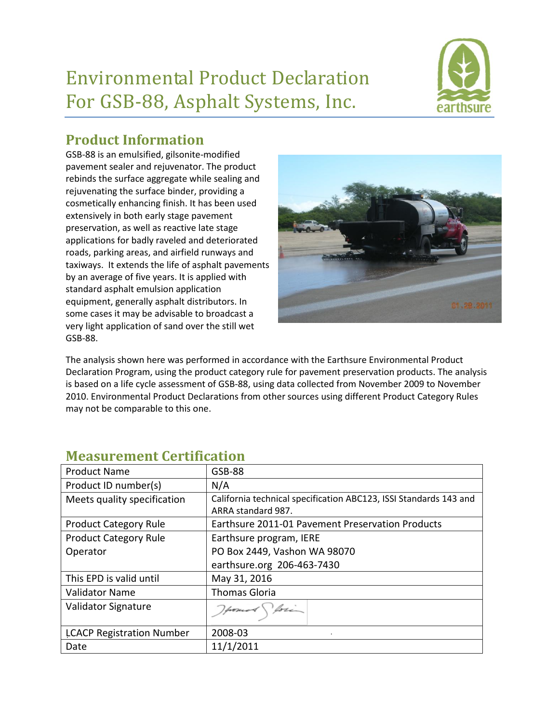# Environmental Product Declaration For GSB-88, Asphalt Systems, Inc.



## **Product Information**

GSB-88 is an emulsified, gilsonite-modified pavement sealer and rejuvenator. The product rebinds the surface aggregate while sealing and rejuvenating the surface binder, providing a cosmetically enhancing finish. It has been used extensively in both early stage pavement preservation, as well as reactive late stage applications for badly raveled and deteriorated roads, parking areas, and airfield runways and taxiways. It extends the life of asphalt pavements by an average of five years. It is applied with standard asphalt emulsion application equipment, generally asphalt distributors. In some cases it may be advisable to broadcast a very light application of sand over the still wet GSB-88.



The analysis shown here was performed in accordance with the Earthsure Environmental Product Declaration Program, using the product category rule for pavement preservation products. The analysis is based on a life cycle assessment of GSB-88, using data collected from November 2009 to November 2010. Environmental Product Declarations from other sources using different Product Category Rules may not be comparable to this one.

| <b>Product Name</b>              | <b>GSB-88</b>                                                                           |
|----------------------------------|-----------------------------------------------------------------------------------------|
| Product ID number(s)             | N/A                                                                                     |
| Meets quality specification      | California technical specification ABC123, ISSI Standards 143 and<br>ARRA standard 987. |
| <b>Product Category Rule</b>     | Earthsure 2011-01 Pavement Preservation Products                                        |
| <b>Product Category Rule</b>     | Earthsure program, IERE                                                                 |
| Operator                         | PO Box 2449, Vashon WA 98070                                                            |
|                                  | earthsure.org 206-463-7430                                                              |
| This EPD is valid until          | May 31, 2016                                                                            |
| <b>Validator Name</b>            | <b>Thomas Gloria</b>                                                                    |
| Validator Signature              | Homes for                                                                               |
| <b>LCACP Registration Number</b> | 2008-03                                                                                 |
| Date                             | 11/1/2011                                                                               |

#### **Measurement Certification**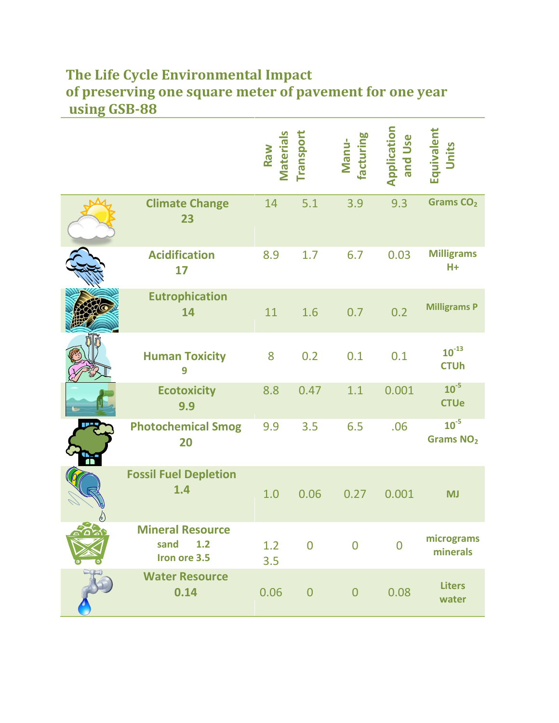## **The Life Cycle Environmental Impact of preserving one square meter of pavement for one year using GSB-88**

|                                                        | <b>Material</b><br>Raw | Transport      | facturing<br>Manu- | Application<br>and Use | Equivalent<br>Units                |
|--------------------------------------------------------|------------------------|----------------|--------------------|------------------------|------------------------------------|
| <b>Climate Change</b><br>23                            | 14                     | 5.1            | 3.9                | 9.3                    | Grams CO <sub>2</sub>              |
| <b>Acidification</b><br>17                             | 8.9                    | 1.7            | 6.7                | 0.03                   | <b>Milligrams</b><br>$H +$         |
| <b>Eutrophication</b><br>14                            | 11                     | 1.6            | 0.7                | 0.2                    | <b>Milligrams P</b>                |
| <b>Human Toxicity</b><br>9                             | 8                      | 0.2            | 0.1                | 0.1                    | $10^{-13}$<br><b>CTUh</b>          |
| <b>Ecotoxicity</b><br>9.9                              | 8.8                    | 0.47           | 1.1                | 0.001                  | $10^{-5}$<br><b>CTUe</b>           |
| <b>Photochemical Smog</b><br>20                        | 9.9                    | 3.5            | 6.5                | .06                    | $10^{-5}$<br>Grams NO <sub>2</sub> |
| <b>Fossil Fuel Depletion</b><br>1.4                    | 1.0                    | 0.06           | 0.27               | 0.001                  | <b>MJ</b>                          |
| <b>Mineral Resource</b><br>1.2<br>sand<br>Iron ore 3.5 | 1.2<br>3.5             | $\overline{0}$ | $\overline{0}$     | $\overline{0}$         | micrograms<br>minerals             |
| <b>Water Resource</b><br>0.14                          | 0.06                   | $\overline{0}$ | $\overline{0}$     | 0.08                   | <b>Liters</b><br>water             |